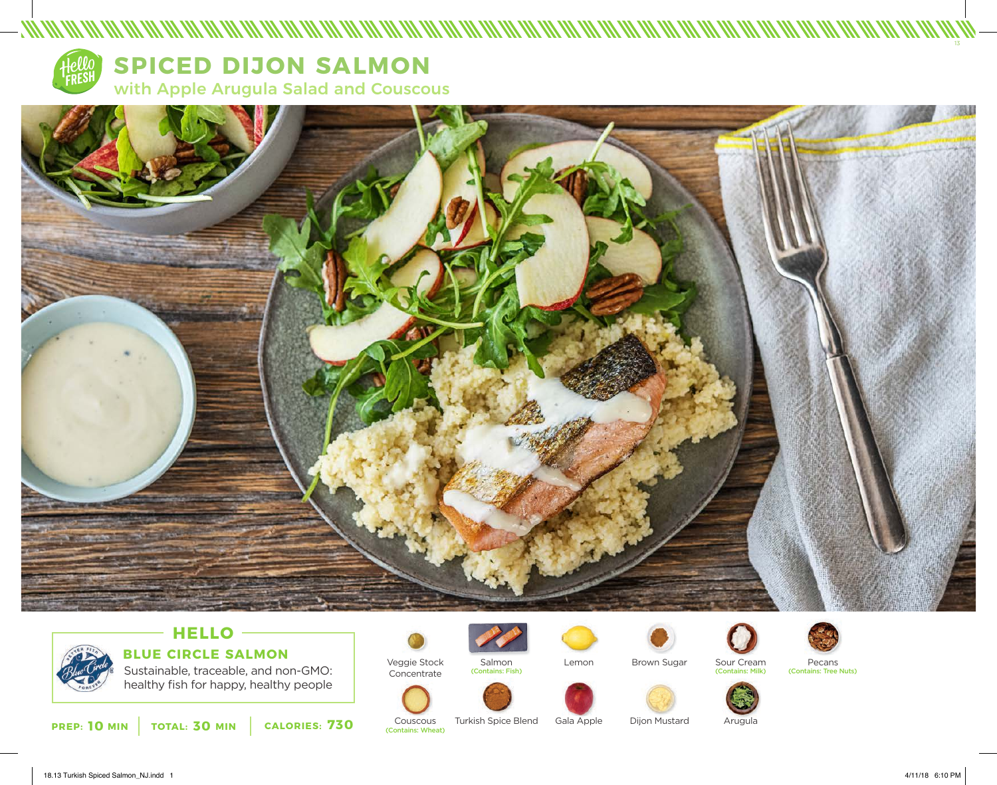

**SPICED DIJON SALMON** 

with Apple Arugula Salad and Couscous



# **HELLO BLUE CIRCLE SALMON**

Sustainable, traceable, and non-GMO: healthy fish for happy, healthy people

**PREP: 10** MIN | TOTAL: 30 MIN | CALORIES: 730 COUSCOUS



Couscous<br>(Contains: Wheat)



Turkish Spice Blend





Gala Apple



Dijon Mustard



Pecans (Contains: Tree Nuts)



Arugula

13